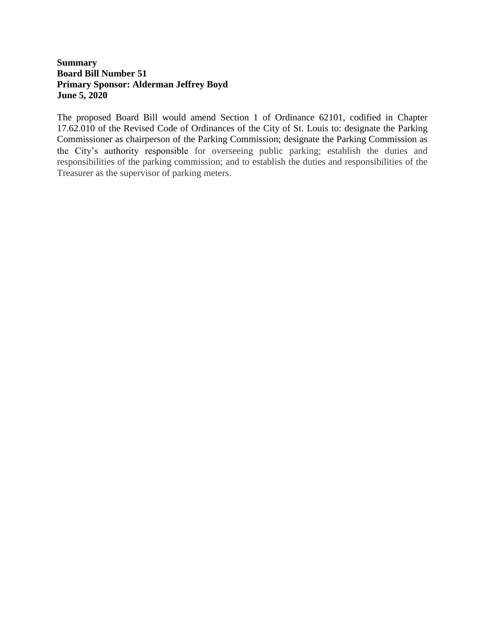## **Summary Board Bill Number 51 Primary Sponsor: Alderman Jeffrey Boyd June 5, 2020**

The proposed Board Bill would amend Section 1 of Ordinance 62101, codified in Chapter 17.62.010 of the Revised Code of Ordinances of the City of St. Louis to: designate the Parking Commissioner as chairperson of the Parking Commission; designate the Parking Commission as the City's authority responsible for overseeing public parking; establish the duties and responsibilities of the parking commission; and to establish the duties and responsibilities of the Treasurer as the supervisor of parking meters.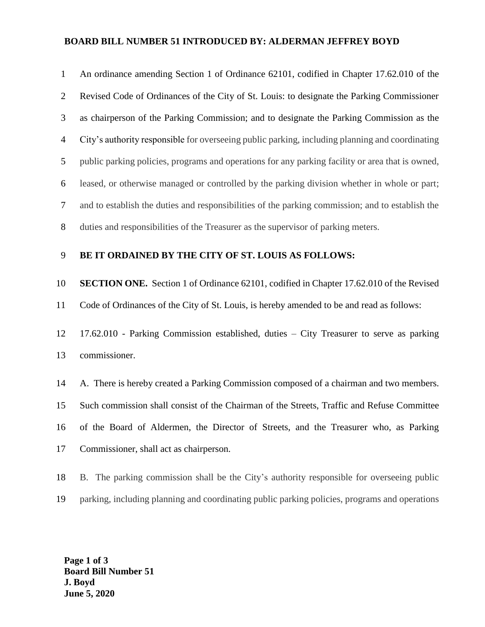# **BOARD BILL NUMBER 51 INTRODUCED BY: ALDERMAN JEFFREY BOYD**

| $\mathbf{1}$   | An ordinance amending Section 1 of Ordinance 62101, codified in Chapter 17.62.010 of the         |
|----------------|--------------------------------------------------------------------------------------------------|
| $\overline{2}$ | Revised Code of Ordinances of the City of St. Louis: to designate the Parking Commissioner       |
| 3              | as chairperson of the Parking Commission; and to designate the Parking Commission as the         |
| $\overline{4}$ | City's authority responsible for overseeing public parking, including planning and coordinating  |
| 5              | public parking policies, programs and operations for any parking facility or area that is owned, |
| 6              | leased, or otherwise managed or controlled by the parking division whether in whole or part;     |
| 7              | and to establish the duties and responsibilities of the parking commission; and to establish the |
| 8              | duties and responsibilities of the Treasurer as the supervisor of parking meters.                |
| 9              | BE IT ORDAINED BY THE CITY OF ST. LOUIS AS FOLLOWS:                                              |
| 10             | <b>SECTION ONE.</b> Section 1 of Ordinance 62101, codified in Chapter 17.62.010 of the Revised   |
| 11             | Code of Ordinances of the City of St. Louis, is hereby amended to be and read as follows:        |
| 12             | 17.62.010 - Parking Commission established, duties - City Treasurer to serve as parking          |
| 13             | commissioner.                                                                                    |
| 14             | A. There is hereby created a Parking Commission composed of a chairman and two members.          |
| 15             | Such commission shall consist of the Chairman of the Streets, Traffic and Refuse Committee       |
| 16             |                                                                                                  |
|                | of the Board of Aldermen, the Director of Streets, and the Treasurer who, as Parking             |
| 17             | Commissioner, shall act as chairperson.                                                          |

parking, including planning and coordinating public parking policies, programs and operations

**Page 1 of 3 Board Bill Number 51 J. Boyd June 5, 2020**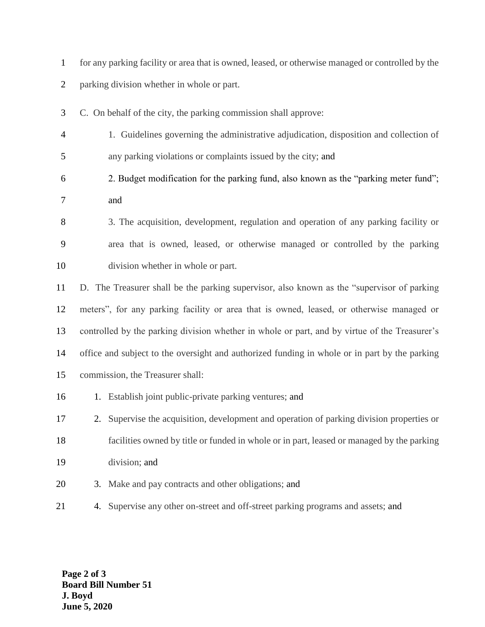|   | for any parking facility or area that is owned, leased, or otherwise managed or controlled by the |
|---|---------------------------------------------------------------------------------------------------|
|   | parking division whether in whole or part.                                                        |
|   | C. On behalf of the city, the parking commission shall approve:                                   |
| 4 | 1. Guidelines governing the administrative adjudication, disposition and collection of            |
|   | any parking violations or complaints issued by the city; and                                      |
| 6 | 2. Budget modification for the parking fund, also known as the "parking meter fund";              |

- and
- 3. The acquisition, development, regulation and operation of any parking facility or area that is owned, leased, or otherwise managed or controlled by the parking division whether in whole or part.

 D. The Treasurer shall be the parking supervisor, also known as the "supervisor of parking meters", for any parking facility or area that is owned, leased, or otherwise managed or controlled by the parking division whether in whole or part, and by virtue of the Treasurer's office and subject to the oversight and authorized funding in whole or in part by the parking commission, the Treasurer shall:

- 16 1. Establish joint public-private parking ventures; and
- 2. Supervise the acquisition, development and operation of parking division properties or facilities owned by title or funded in whole or in part, leased or managed by the parking division; and
- 3. Make and pay contracts and other obligations; and
- 4. Supervise any other on-street and off-street parking programs and assets; and

**Page 2 of 3 Board Bill Number 51 J. Boyd June 5, 2020**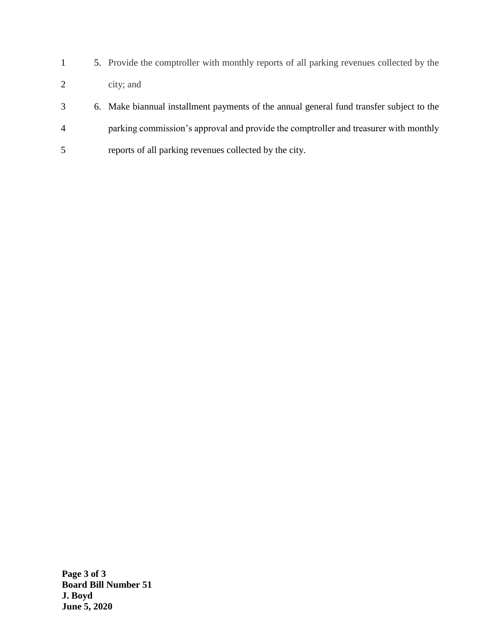- 1 5. Provide the comptroller with monthly reports of all parking revenues collected by the 2 city; and
- 3 6. Make biannual installment payments of the annual general fund transfer subject to the 4 parking commission's approval and provide the comptroller and treasurer with monthly 5 reports of all parking revenues collected by the city.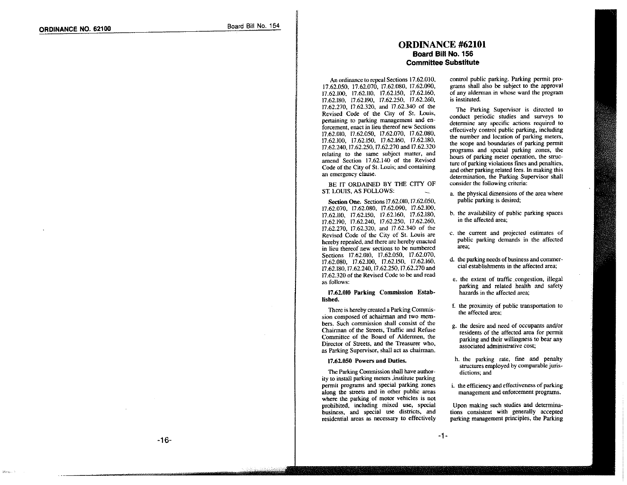## **ORDINANCE #62101** Board Bill No. 156 **Committee Substitute**

An ordinance to repeal Sections 17.62.010, 17.62.050, 17.62.070, 17.62.080, 17.62.090, 17.62.100, 17.62.110, 17.62.150, 17.62.160, 17.62.180, 17.62.190, 17.62.250, 17.62.260, 17.62.270, 17.62.320, and 17.62.340 of the Revised Code of the City of St. Louis, pertaining to parking management and enforcement, enact in lieu thereof new Sections 17.62.010, 17.62.050, 17.62.070, 17.62.080, 17.62.100, 17.62.150, 17.62.160, 17.62.180, 17.62.240, 17.62.250, 17.62.270 and 17.62.320 relating to the same subject matter, and amend Section 17.62.140 of the Revised Code of the City of St. Louis; and containing an emergency clause.

BE IT ORDAINED BY THE CITY OF ST. LOUIS. AS FOLLOWS:

Section One. Sections 17.62.010, 17.62.050, 17.62.070, 17.62.080, 17.62.090, 17.62.100, 17.62.110. 17.62.150. 17.62.160, 17.62.180, 17.62.190, 17.62.240, 17.62.250, 17.62.260, 17.62.270, 17.62.320, and 17.62.340 of the Revised Code of the City of St. Louis are hereby repealed, and there are hereby enacted in lieu thereof new sections to be numbered Sections 17.62.010, 17.62.050, 17.62.070, 17.62.080, 17.62.100, 17.62.150, 17.62.160, 17.62.180, 17.62.240, 17.62.250, 17.62.270 and 17.62.320 of the Revised Code to be and read as follows:

#### 17.62.010 Parking Commission Established.

There is hereby created a Parking Commission composed of achairman and two members. Such commission shall consist of the Chairman of the Streets. Traffic and Refuse Committee of the Board of Aldermen, the Director of Streets, and the Treasurer who, as Parking Supervisor, shall act as chairman.

#### 17.62.050 Powers and Duties.

The Parking Commission shall have authority to install parking meters, institute parking permit programs and special parking zones along the streets and in other public areas where the parking of motor vehicles is not prohibited, including mixed use, special business, and special use districts, and residential areas as necessary to effectively control public parking. Parking permit programs shall also be subject to the approval of any alderman in whose ward the program is instituted.

The Parking Supervisor is directed to conduct periodic studies and surveys to determine any specific actions required to effectively control public parking, including the number and location of parking meters, the scope and boundaries of parking permit programs and special parking zones, the hours of parking meter operation, the structure of parking violations fines and penalties. and other parking related fees. In making this determination, the Parking Supervisor shall consider the following criteria:

- a. the physical dimensions of the area where public parking is desired;
- b. the availability of public parking spaces in the affected area:
- c. the current and projected estimates of public parking demands in the affected area:
- d. the parking needs of business and commercial establishments in the affected area.
- e. the extent of traffic congestion, illegal parking and related health and safety hazards in the affected area;
- f. the proximity of public transportation to the affected area:
- g. the desire and need of occupants and/or residents of the affected area for permit parking and their willingness to bear any associated administrative cost;
- h. the parking rate, fine and penalty structures employed by comparable jurisdictions; and
- i. the efficiency and effectiveness of parking management and enforcement programs.

Upon making such studies and determinations consistent with generally accepted parking management principles, the Parking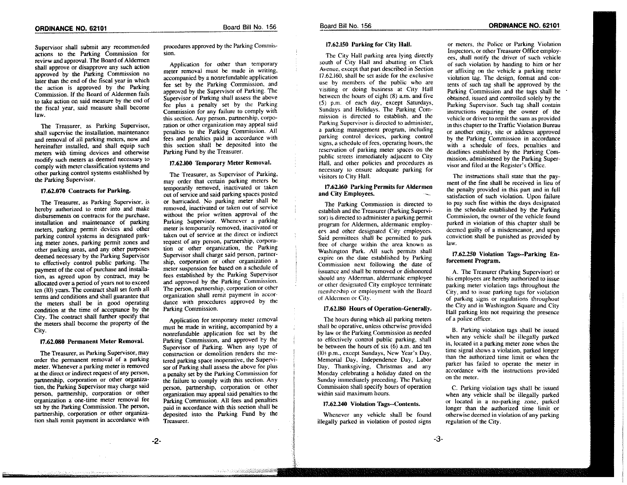Supervisor shall submit any recommended actions to the Parking Commission for review and approval. The Board of Aldermen shall approve or disapprove any such action approved by the Parking Commission no later than the end of the fiscal year in which the action is approved by the Parking Commission. If the Board of Aldermen fails to take action on said measure by the end of the fiscal year, said measure shall become law.

The Treasurer, as Parking Supervisor, shall supervise the installation, maintenance and removal of all parking meters, now and hereinafter installed, and shall equip such meters with timing devices and otherwise modify such meters as deemed necessary to comply with meter classification systems and other parking control systems established by the Parking Supervisor.

#### 17.62.070 Contracts for Parking.

The Treasurer, as Parking Supervisor, is hereby authorized to enter into and make disbursements on contracts for the purchase, installation and maintenance of parking meters, parking permit devices and other parking control systems in designated parking meter zones, parking permit zones and other parking areas, and any other purposes deemed necessary by the Parking Supervisor to effectively control public parking. The payment of the cost of purchase and installation, as agreed upon by contract, may be allocated over a period of years not to exceed ten (10) years. The contract shall set forth all terms and conditions and shall guarantee that the meters shall be in good operating condition at the time of acceptance by the City. The contract shall further specify that the meters shall become the property of the City.

#### 17.62.080 Permanent Meter Removal.

The Treasurer, as Parking Supervisor, may order the permanent removal of a parking meter. Whenever a parking meter is removed at the direct or indirect request of any person, partnership, corporation or other organization, the Parking Supervisor may charge said person, partnership, corporation or other organization a one-time meter removal fee set by the Parking Commission. The person, partnership, corporation or other organization shall remit payment in accordance with procedures approved by the Parking Commission.

Application for other than temporary meter removal must be made in writing, accompanied by a nonrefundable application fee set by the Parking Commission, and approved by the Supervisor of Parking. The Supervisor of Parking shall assess the above fee plus a penalty set by the Parking Commission for any failure to comply with this section. Any person, partnership, corporation or other organization may appeal said penalties to the Parking Commission. All fees and penalties paid in accordance with this section shall be deposited into the Parking Fund by the Treasurer.

#### 17.62.100 Temporary Meter Removal.

The Treasurer, as Supervisor of Parking, may order that certain parking meters be temporarily removed, inactivated or taken out of service and said parking spaces posted or barricaded. No parking meter shall be removed, inactivated or taken out of service without the prior written approval of the Parking Supervisor. Whenever a parking meter is temporarily removed, inactivated or taken out of service at the direct or indirect request of any person, partnership, corporation or other organization, the Parking Supervisor shall charge said person, partnership, corporation or other organization a meter suspension fee based on a schedule of fees established by the Parking Supervisor and approved by the Parking Commission. The person, partnership, corporation or other organization shall remit payment in accordance with procedures approved by the Parking Commission.

Application for temporary meter removal must be made in writing, accompanied by a nonrefundable application fee set by the Parking Commission, and approved by the Supervisor of Parking. When any type of construction or demolition renders the metered parking space inoperative, the Supervisor of Parking shall assess the above fee plus a penalty set by the Parking Commission for the failure to comply with this section. Any person, partnership, corporation or other organization may appeal said penalties to the Parking Commission. All fees and penalties paid in accordance with this section shall be deposited into the Parking Fund by the Treasurer.

<u>a sa sa salah bagi di Kabupatèn Ba</u>

17.62.150 Parking for City Hall.

Board Bill No. 156

The City Hall parking area lying directly south of City Hall and abutting on Clark Avenue, except that part described in Section 17.62.160, shall be set aside for the exclusive use by members of the public who are visiting or doing business at City Hall between the hours of eight  $(8)$  a.m. and five (5) p.m. of each day, except Saturdays, Sundays and Holidays. The Parking Commission is directed to establish, and the Parking Supervisor is directed to administer, a parking management program, including parking control devices, parking control signs, a schedule of fees, operating hours, the reservation of parking meter spaces on the public streets immediately adjacent to City Hall, and other policies and procedures as necessary to ensure adequate parking for visitors to City Hall.

#### 17.62.160 Parking Permits for Aldermen and City Employees.

The Parking Commission is directed to establish and the Treasurer (Parking Supervisor) is directed to administer a parking permit program for Aldermen, aldermanic employees and other designated City employees. Said permittees shall be permitted to park free of charge within the area known as Washington Park. All such permits shall expire on the date established by Parking Commission next following the date of issuance and shall be removed or dishonored should any Alderman, aldermanic employee or other designated City employee terminate membership or employment with the Board of Aldermen or City.

#### 17.62.180 Hours of Operation-Generally.

The hours during which all parking meters shall be operative, unless otherwise provided by law or the Parking Commission as needed to effectively control public parking, shall be between the hours of six  $(6)$  a.m. and ten (10) p.m., except Sundays, New Year's Day, Memorial Day, Independence Day, Labor Day, Thanksgiving, Christmas and any Monday celebrating a holiday dated on the Sunday immediately preceding. The Parking Commission shall specify hours of operation within said maximum hours.

#### 17.62.240 Violation Tags--Contents.

Whenever any vehicle shall be found illegally parked in violation of posted signs

or meters, the Police or Parking Violation Inspectors, or other Treasurer Office employees, shall notify the driver of such vehicle of such violation by handing to him or her or affixing on the vehicle a parking meter violation tag. The design, format and contents of such tag shall be approved by the Parking Commission and the tags shall be obtained, issued and controlled solely by the Parking Supervisor. Such tag shall contain instructions requiring the owner of the vehicle or driver to remit the sum as provided in this chapter to the Traffic Violation Bureau or another entity, site or address approved by the Parking Commission in accordance with a schedule of fees, penalties and deadlines established by the Parking Commission, administered by the Parking Supervisor and filed at the Register's Office.

The instructions shall state that the payment of the fine shall be received in lieu of the penalty provided in this part and in full satisfaction of such violation. Upon failure to pay such fine within the days designated in the schedule established by the Parking Commission, the owner of the vehicle found parked in violation of this chapter shall be deemed guilty of a misdemeanor, and upon conviction shall be punished as provided by law.

#### 17.62.250 Violation Tags--Parking Enforcement Program.

A. The Treasurer (Parking Supervisor) or his employees are hereby authorized to issue parking meter violation tags throughout the City, and to issue parking tags for violation of parking signs or regulations throughout the City and in Washington Square and City Hall parking lots not requiring the presence of a police officer.

B. Parking violation tags shall be issued when any vehicle shall be illegally parked in, located in a parking meter zone when the time signal shows a violation, parked longer than the authorized time limit or when the parker has failed to operate the meter in accordance with the instructions provided on the meter.

C. Parking violation tags shall be issued when any vehicle shall be illegally parked or located in a no-parking zone, parked longer than the authorized time limit or otherwise deemed in violation of any parking regulation of the City.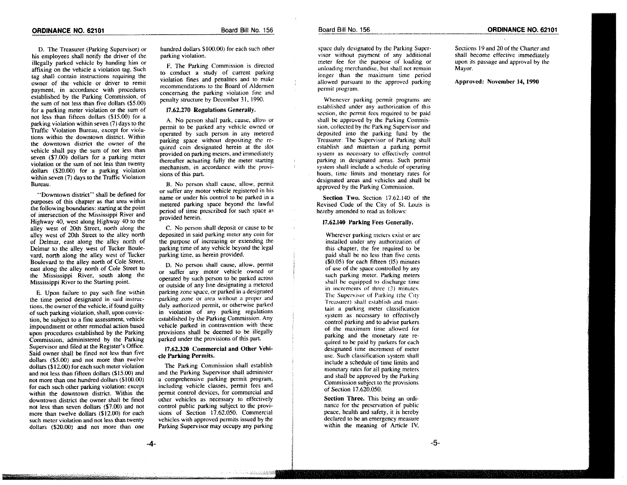D. The Treasurer (Parking Supervisor) or his employees shall notify the driver of the illegally parked vehicle by handing him or affixing on the vehicle a violation tag. Such tag shall contain instructions requiring the owner of the vehicle or driver to remit payment, in accordance with procedures established by the Parking Commission, of the sum of not less than five dollars (\$5.00) for a parking meter violation or the sum of not less than fifteen dollars (\$15.00) for a parking violation within seven  $(7)$  days to the Traffic Violation Bureau, except for violations within the downtown district. Within the downtown district the owner of the vehicle shall pay the sum of not less than seven (\$7.00) dollars for a parking meter violation or the sum of not less than twenty dollars (\$20.00) for a parking violation within seven (7) days to the Traffic Violation Bureau.

"Downtown district" shall be defined for purposes of this chapter as that area within the following boundaries: starting at the point of intersection of the Mississippi River and Highway 40, west along Highway 40 to the alley west of 20th Street, north along the alley west of 20th Street to the alley north of Delmar, east along the alley north of Delmar to the alley west of Tucker Boulevard, north along the alley west of Tucker Boulevard to the alley north of Cole Street, east along the alley north of Cole Street to the Mississippi River, south along the Mississippi River to the Starting point.

E. Upon failure to pay such fine within the time period designated in said instructions, the owner of the vehicle, if found guilty of such parking violation, shall, upon conviction, be subject to a fine assessment, vehicle impoundment or other remedial action based upon procedures established by the Parking Commission, administered by the Parking Supervisor and filed at the Register's Office. Said owner shall be fined not less than five dollars (\$5.00) and not more than twelve dollars (\$12.00) for each such meter violation and not less than fifteen dollars (\$15.00) and not more than one hundred dollars (\$100.00) for each such other parking violation: except within the downtown district. Within the downtown district the owner shall be fined not less than seven dollars (\$7.00) and not more than twelve dollars (\$12.00) for each such meter violation and not less than twenty dollars (\$20.00) and not more than one hundred dollars \$100.00) for each such other parking violation.

F. The Parking Commission is directed to conduct a study of current parking violation fines and penalties and to make recommendations to the Board of Aldermen concerning the parking violation fine and penalty structure by December 31, 1990.

#### 17.62.270 Regulations Generally.

A. No person shall park, cause, allow or permit to be parked any vehicle owned or operated by such person in any metered parking space without depositing the required coin designated herein at the slot provided on parking meters, and immediately thereafter actuating fully the meter starting mechanism, in accordance with the provisions of this part.

B. No person shall cause, allow, permit or suffer any motor vehicle registered in his name or under his control to be parked in a metered parking space beyond the lawful period of time prescribed for such space as provided herein.

C. No person shall deposit or cause to be deposited in said parking meter any coin for the purpose of increasing or extending the parking time of any vehicle beyond the legal parking time, as herein provided.

D. No person shall cause, allow, permit or suffer any motor vehicle owned or operated by such person to be parked across or outside of any line designating a metered parking zone space, or parked in a designated parking zone or area without a proper and duly authorized permit, or otherwise parked in violation of any parking regulations established by the Parking Commission. Any vehicle parked in contravention with these provisions shall be deemed to be illegally parked under the provisions of this part.

#### 17.62.320 Commercial and Other Vehicle Parking Permits.

The Parking Commission shall establish and the Parking Supervisor shall administer a comprehensive parking permit program, including vehicle classes, permit fees and permit control devices, for commercial and other vehicles as necessary to effectively control public parking subject to the provisions of Section 17.62.050. Commercial vehicles with approved permits issued by the Parking Supervisor may occupy any parking

and a children children and

space duly designated by the Parking Supervisor without payment of any additional meter fee for the purpose of loading or unloading merchandise, but shall not remain longer than the maximum time period allowed pursuant to the approved parking permit program.

Whenever parking permit programs are established under any authorization of this section, the permit fees required to be paid shall be approved by the Parking Commission, collected by the Parking Supervisor and deposited into the parking fund by the Treasurer. The Supervisor of Parking shall establish and maintain a parking permit system as necessary to effectively control parking in designated areas. Such permit system shall include a schedule of operating hours, time limits and monetary rates for designated areas and vehicles and shall be approved by the Parking Commission.

Section Two. Section 17.62.140 of the Revised Code of the City of St. Louis is hereby amended to read as follows:

### 17.62.140 Parking Fees Generally.

Wherever parking meters exist or are installed under any authorization of this chapter, the fee required to be paid shall be no less than five cents (\$0.05) for each fifteen (15) minutes of use of the space controlled by any such parking meter. Parking meters shall be equipped to discharge time in increments of three  $(3)$  minutes. The Supervisor of Parking (the City Treasurer) shall establish and maintain a parking meter classification system as necessary to effectively control parking and to advise parkers of the maximum time allowed for parking and the monetary rate required to be paid by parkers for each designated time increment of meter use. Such classification system shall include a schedule of time limits and monetary rates for all parking meters and shall be approved by the Parking Commission subject to the provisions of Section 17.620.050.

Section Three. This being an ordinance for the preservation of public peace, health and safety, it is hereby declared to be an emergency measure within the meaning of Article IV,

Sections 19 and 20 of the Charter and shall become effective immediately upon its passage and approval by the Мауот.

Approved: November 14, 1990